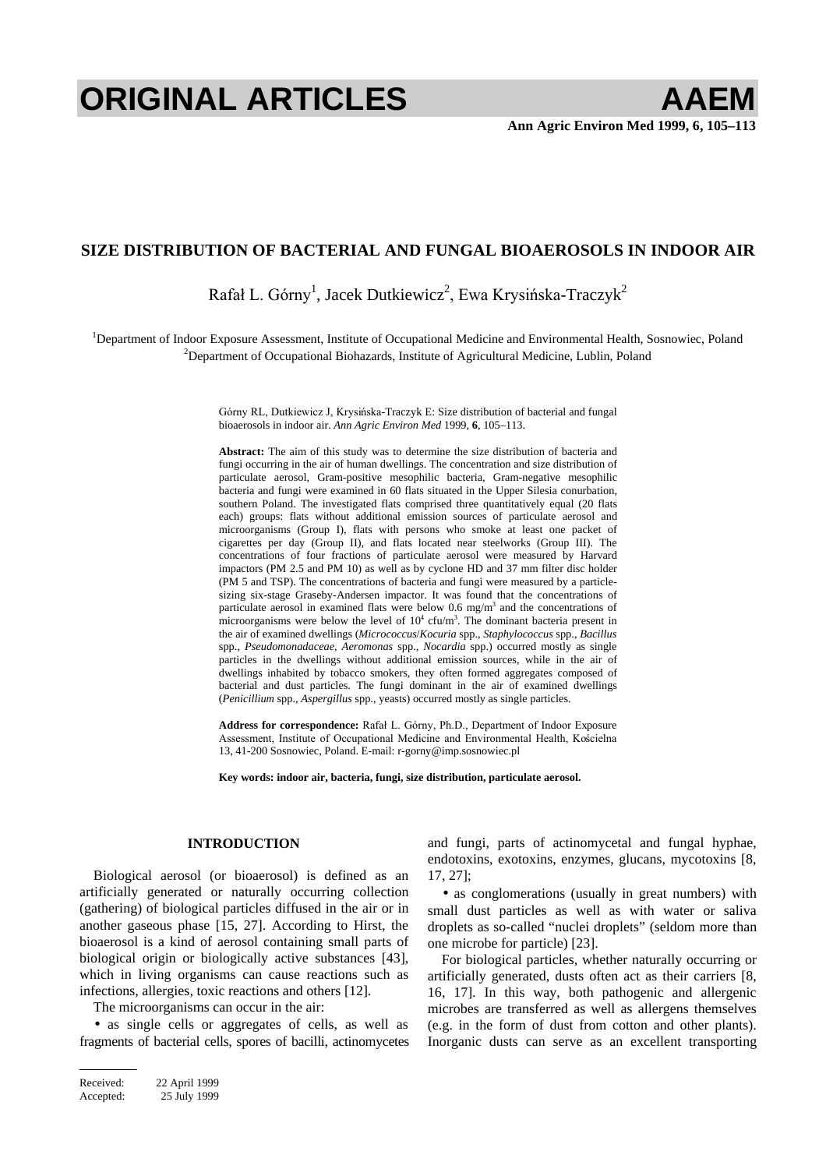# **ORIGINAL ARTICLES AAEM**

# **SIZE DISTRIBUTION OF BACTERIAL AND FUNGAL BIOAEROSOLS IN INDOOR AIR**

Rafał L. Górny<sup>1</sup>, Jacek Dutkiewicz<sup>2</sup>, Ewa Krysińska-Traczyk<sup>2</sup>

<sup>1</sup>Department of Indoor Exposure Assessment, Institute of Occupational Medicine and Environmental Health, Sosnowiec, Poland <sup>2</sup>Department of Occupational Biobagards, Institute of Agricultural Medicine, Lublin, Poland  $2$ Department of Occupational Biohazards, Institute of Agricultural Medicine, Lublin, Poland

> Górny RL, Dutkiewicz J, Krysińska-Traczyk E: Size distribution of bacterial and fungal bioaerosols in indoor air. *Ann Agric Environ Med* 1999, **6**, 105–113.

> **Abstract:** The aim of this study was to determine the size distribution of bacteria and fungi occurring in the air of human dwellings. The concentration and size distribution of particulate aerosol, Gram-positive mesophilic bacteria, Gram-negative mesophilic bacteria and fungi were examined in 60 flats situated in the Upper Silesia conurbation, southern Poland. The investigated flats comprised three quantitatively equal (20 flats each) groups: flats without additional emission sources of particulate aerosol and microorganisms (Group I), flats with persons who smoke at least one packet of cigarettes per day (Group II), and flats located near steelworks (Group III). The concentrations of four fractions of particulate aerosol were measured by Harvard impactors (PM 2.5 and PM 10) as well as by cyclone HD and 37 mm filter disc holder (PM 5 and TSP). The concentrations of bacteria and fungi were measured by a particlesizing six-stage Graseby-Andersen impactor. It was found that the concentrations of particulate aerosol in examined flats were below  $0.6 \text{ mg/m}^3$  and the concentrations of microorganisms were below the level of  $10^4$  cfu/m<sup>3</sup>. The dominant bacteria present in the air of examined dwellings (*Micrococcus*/*Kocuria* spp., *Staphylococcus* spp., *Bacillus* spp., *Pseudomonadaceae*, *Aeromonas* spp., *Nocardia* spp.) occurred mostly as single particles in the dwellings without additional emission sources, while in the air of dwellings inhabited by tobacco smokers, they often formed aggregates composed of bacterial and dust particles. The fungi dominant in the air of examined dwellings (*Penicillium* spp., *Aspergillus* spp., yeasts) occurred mostly as single particles.

> Address for correspondence: Rafał L. Górny, Ph.D., Department of Indoor Exposure Assessment, Institute of Occupational Medicine and Environmental Health, Kościelna 13, 41-200 Sosnowiec, Poland. E-mail: r-gorny@imp.sosnowiec.pl

**Key words: indoor air, bacteria, fungi, size distribution, particulate aerosol.**

# **INTRODUCTION**

Biological aerosol (or bioaerosol) is defined as an artificially generated or naturally occurring collection (gathering) of biological particles diffused in the air or in another gaseous phase [15, 27]. According to Hirst, the bioaerosol is a kind of aerosol containing small parts of biological origin or biologically active substances [43], which in living organisms can cause reactions such as infections, allergies, toxic reactions and others [12].

The microorganisms can occur in the air:

• as single cells or aggregates of cells, as well as fragments of bacterial cells, spores of bacilli, actinomycetes

Received: 22 April 1999 Accepted: 25 July 1999 and fungi, parts of actinomycetal and fungal hyphae, endotoxins, exotoxins, enzymes, glucans, mycotoxins [8, 17, 27];

• as conglomerations (usually in great numbers) with small dust particles as well as with water or saliva droplets as so-called "nuclei droplets" (seldom more than one microbe for particle) [23].

For biological particles, whether naturally occurring or artificially generated, dusts often act as their carriers [8, 16, 17]. In this way, both pathogenic and allergenic microbes are transferred as well as allergens themselves (e.g. in the form of dust from cotton and other plants). Inorganic dusts can serve as an excellent transporting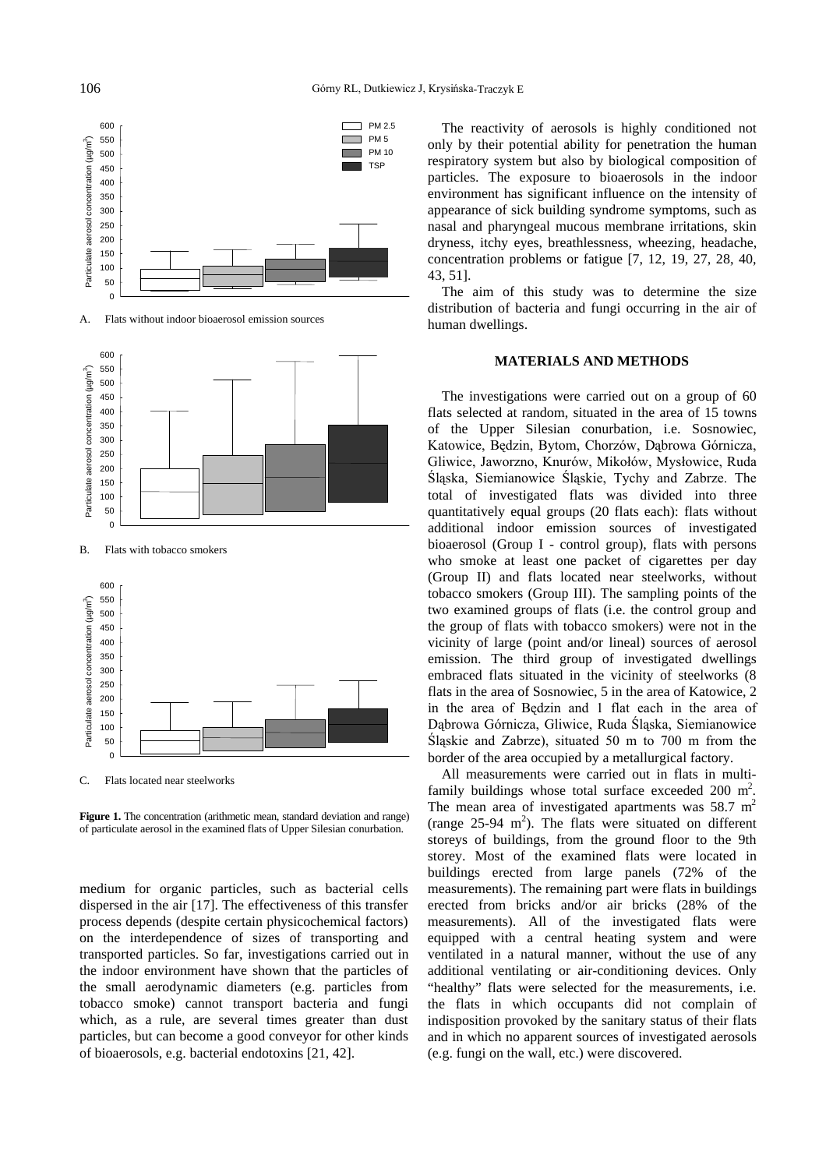

A. Flats without indoor bioaerosol emission sources



B. Flats with tobacco smokers



C. Flats located near steelworks

**Figure 1.** The concentration (arithmetic mean, standard deviation and range) of particulate aerosol in the examined flats of Upper Silesian conurbation.

medium for organic particles, such as bacterial cells dispersed in the air [17]. The effectiveness of this transfer process depends (despite certain physicochemical factors) on the interdependence of sizes of transporting and transported particles. So far, investigations carried out in the indoor environment have shown that the particles of the small aerodynamic diameters (e.g. particles from tobacco smoke) cannot transport bacteria and fungi which, as a rule, are several times greater than dust particles, but can become a good conveyor for other kinds of bioaerosols, e.g. bacterial endotoxins [21, 42].

The reactivity of aerosols is highly conditioned not only by their potential ability for penetration the human respiratory system but also by biological composition of particles. The exposure to bioaerosols in the indoor environment has significant influence on the intensity of appearance of sick building syndrome symptoms, such as nasal and pharyngeal mucous membrane irritations, skin dryness, itchy eyes, breathlessness, wheezing, headache, concentration problems or fatigue [7, 12, 19, 27, 28, 40, 43, 51].

The aim of this study was to determine the size distribution of bacteria and fungi occurring in the air of human dwellings.

### **MATERIALS AND METHODS**

The investigations were carried out on a group of 60 flats selected at random, situated in the area of 15 towns of the Upper Silesian conurbation, i.e. Sosnowiec, Katowice, Będzin, Bytom, Chorzów, Dąbrowa Górnicza, Gliwice, Jaworzno, Knurów, Mikołów, Mysłowice, Ruda Śląska, Siemianowice Śląskie, Tychy and Zabrze. The total of investigated flats was divided into three quantitatively equal groups (20 flats each): flats without additional indoor emission sources of investigated bioaerosol (Group I - control group), flats with persons who smoke at least one packet of cigarettes per day (Group II) and flats located near steelworks, without tobacco smokers (Group III). The sampling points of the two examined groups of flats (i.e. the control group and the group of flats with tobacco smokers) were not in the vicinity of large (point and/or lineal) sources of aerosol emission. The third group of investigated dwellings embraced flats situated in the vicinity of steelworks (8 flats in the area of Sosnowiec, 5 in the area of Katowice, 2 in the area of Będzin and 1 flat each in the area of Dabrowa Górnicza, Gliwice, Ruda Śląska, Siemianowice Śląskie and Zabrze), situated 50 m to 700 m from the border of the area occupied by a metallurgical factory.

All measurements were carried out in flats in multifamily buildings whose total surface exceeded 200  $m^2$ . The mean area of investigated apartments was  $58.7 \text{ m}^2$ (range  $25-94 \text{ m}^2$ ). The flats were situated on different storeys of buildings, from the ground floor to the 9th storey. Most of the examined flats were located in buildings erected from large panels (72% of the measurements). The remaining part were flats in buildings erected from bricks and/or air bricks (28% of the measurements). All of the investigated flats were equipped with a central heating system and were ventilated in a natural manner, without the use of any additional ventilating or air-conditioning devices. Only "healthy" flats were selected for the measurements, i.e. the flats in which occupants did not complain of indisposition provoked by the sanitary status of their flats and in which no apparent sources of investigated aerosols (e.g. fungi on the wall, etc.) were discovered.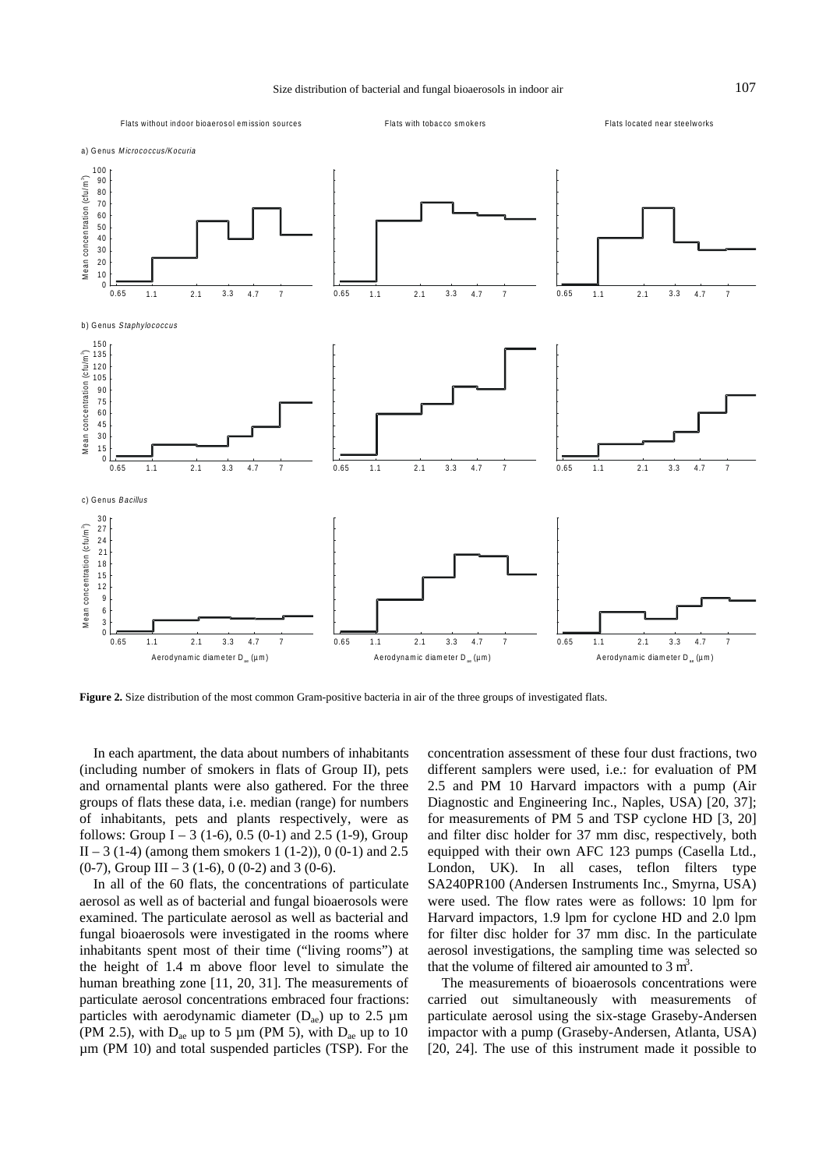

**Figure 2.** Size distribution of the most common Gram-positive bacteria in air of the three groups of investigated flats.

In each apartment, the data about numbers of inhabitants (including number of smokers in flats of Group II), pets and ornamental plants were also gathered. For the three groups of flats these data, i.e. median (range) for numbers of inhabitants, pets and plants respectively, were as follows: Group I – 3 (1-6), 0.5 (0-1) and 2.5 (1-9), Group  $II - 3$  (1-4) (among them smokers 1 (1-2)), 0 (0-1) and 2.5  $(0-7)$ , Group III – 3 (1-6), 0 (0-2) and 3 (0-6).

In all of the 60 flats, the concentrations of particulate aerosol as well as of bacterial and fungal bioaerosols were examined. The particulate aerosol as well as bacterial and fungal bioaerosols were investigated in the rooms where inhabitants spent most of their time ("living rooms") at the height of 1.4 m above floor level to simulate the human breathing zone [11, 20, 31]. The measurements of particulate aerosol concentrations embraced four fractions: particles with aerodynamic diameter  $(D_{ae})$  up to 2.5 µm (PM 2.5), with  $D_{ae}$  up to 5 µm (PM 5), with  $D_{ae}$  up to 10 µm (PM 10) and total suspended particles (TSP). For the

concentration assessment of these four dust fractions, two different samplers were used, i.e.: for evaluation of PM 2.5 and PM 10 Harvard impactors with a pump (Air Diagnostic and Engineering Inc., Naples, USA) [20, 37]; for measurements of PM 5 and TSP cyclone HD [3, 20] and filter disc holder for 37 mm disc, respectively, both equipped with their own AFC 123 pumps (Casella Ltd., London, UK). In all cases, teflon filters type SA240PR100 (Andersen Instruments Inc., Smyrna, USA) were used. The flow rates were as follows: 10 lpm for Harvard impactors, 1.9 lpm for cyclone HD and 2.0 lpm for filter disc holder for 37 mm disc. In the particulate aerosol investigations, the sampling time was selected so that the volume of filtered air amounted to  $3 \text{ m}^3$ .

The measurements of bioaerosols concentrations were carried out simultaneously with measurements of particulate aerosol using the six-stage Graseby-Andersen impactor with a pump (Graseby-Andersen, Atlanta, USA) [20, 24]. The use of this instrument made it possible to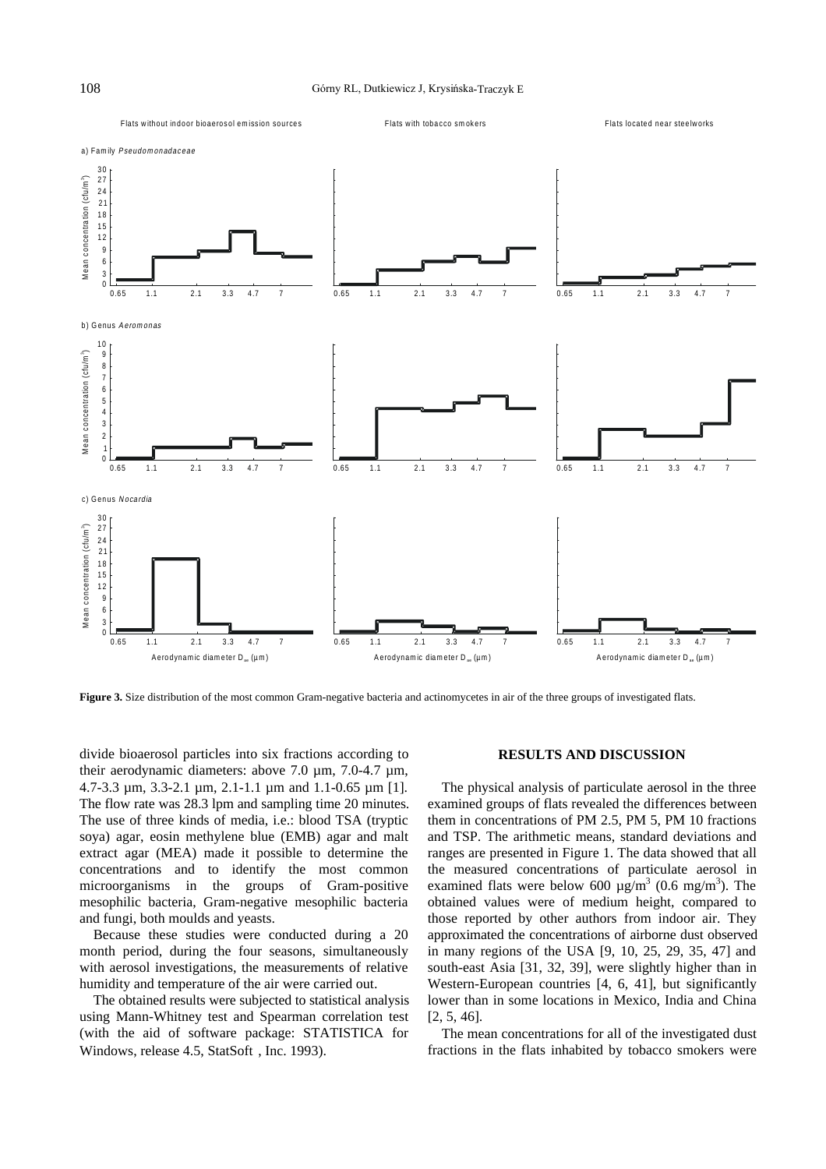

**Figure 3.** Size distribution of the most common Gram-negative bacteria and actinomycetes in air of the three groups of investigated flats.

divide bioaerosol particles into six fractions according to their aerodynamic diameters: above 7.0 µm, 7.0-4.7 µm, 4.7-3.3 µm, 3.3-2.1 µm, 2.1-1.1 µm and 1.1-0.65 µm [1]. The flow rate was 28.3 lpm and sampling time 20 minutes. The use of three kinds of media, i.e.: blood TSA (tryptic soya) agar, eosin methylene blue (EMB) agar and malt extract agar (MEA) made it possible to determine the concentrations and to identify the most common microorganisms in the groups of Gram-positive mesophilic bacteria, Gram-negative mesophilic bacteria and fungi, both moulds and yeasts.

Because these studies were conducted during a 20 month period, during the four seasons, simultaneously with aerosol investigations, the measurements of relative humidity and temperature of the air were carried out.

The obtained results were subjected to statistical analysis using Mann-Whitney test and Spearman correlation test (with the aid of software package: STATISTICA for Windows, release 4.5, StatSoft<sup>®</sup>, Inc. 1993).

## **RESULTS AND DISCUSSION**

The physical analysis of particulate aerosol in the three examined groups of flats revealed the differences between them in concentrations of PM 2.5, PM 5, PM 10 fractions and TSP. The arithmetic means, standard deviations and ranges are presented in Figure 1. The data showed that all the measured concentrations of particulate aerosol in examined flats were below 600  $\mu$ g/m<sup>3</sup> (0.6 mg/m<sup>3</sup>). The obtained values were of medium height, compared to those reported by other authors from indoor air. They approximated the concentrations of airborne dust observed in many regions of the USA [9, 10, 25, 29, 35, 47] and south-east Asia [31, 32, 39], were slightly higher than in Western-European countries [4, 6, 41], but significantly lower than in some locations in Mexico, India and China [2, 5, 46].

The mean concentrations for all of the investigated dust fractions in the flats inhabited by tobacco smokers were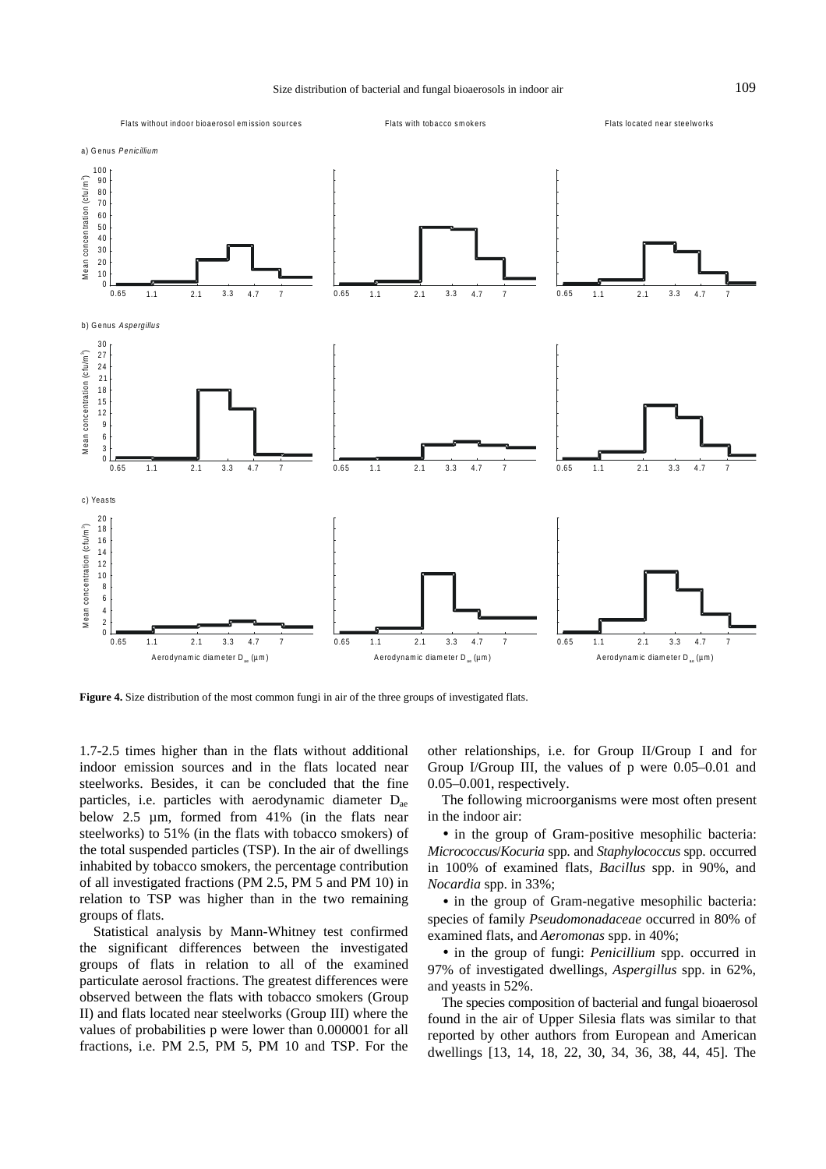

**Figure 4.** Size distribution of the most common fungi in air of the three groups of investigated flats.

1.7-2.5 times higher than in the flats without additional indoor emission sources and in the flats located near steelworks. Besides, it can be concluded that the fine particles, i.e. particles with aerodynamic diameter  $D_{ae}$ below 2.5 µm, formed from 41% (in the flats near steelworks) to 51% (in the flats with tobacco smokers) of the total suspended particles (TSP). In the air of dwellings inhabited by tobacco smokers, the percentage contribution of all investigated fractions (PM 2.5, PM 5 and PM 10) in relation to TSP was higher than in the two remaining groups of flats.

Statistical analysis by Mann-Whitney test confirmed the significant differences between the investigated groups of flats in relation to all of the examined particulate aerosol fractions. The greatest differences were observed between the flats with tobacco smokers (Group II) and flats located near steelworks (Group III) where the values of probabilities p were lower than 0.000001 for all fractions, i.e. PM 2.5, PM 5, PM 10 and TSP. For the

other relationships, i.e. for Group II/Group I and for Group I/Group III, the values of p were 0.05–0.01 and 0.05–0.001, respectively.

The following microorganisms were most often present in the indoor air:

• in the group of Gram-positive mesophilic bacteria: *Micrococcus*/*Kocuria* spp. and *Staphylococcus* spp. occurred in 100% of examined flats, *Bacillus* spp. in 90%, and *Nocardia* spp. in 33%;

• in the group of Gram-negative mesophilic bacteria: species of family *Pseudomonadaceae* occurred in 80% of examined flats, and *Aeromonas* spp. in 40%;

• in the group of fungi: *Penicillium* spp. occurred in 97% of investigated dwellings, *Aspergillus* spp. in 62%, and yeasts in 52%.

The species composition of bacterial and fungal bioaerosol found in the air of Upper Silesia flats was similar to that reported by other authors from European and American dwellings [13, 14, 18, 22, 30, 34, 36, 38, 44, 45]. The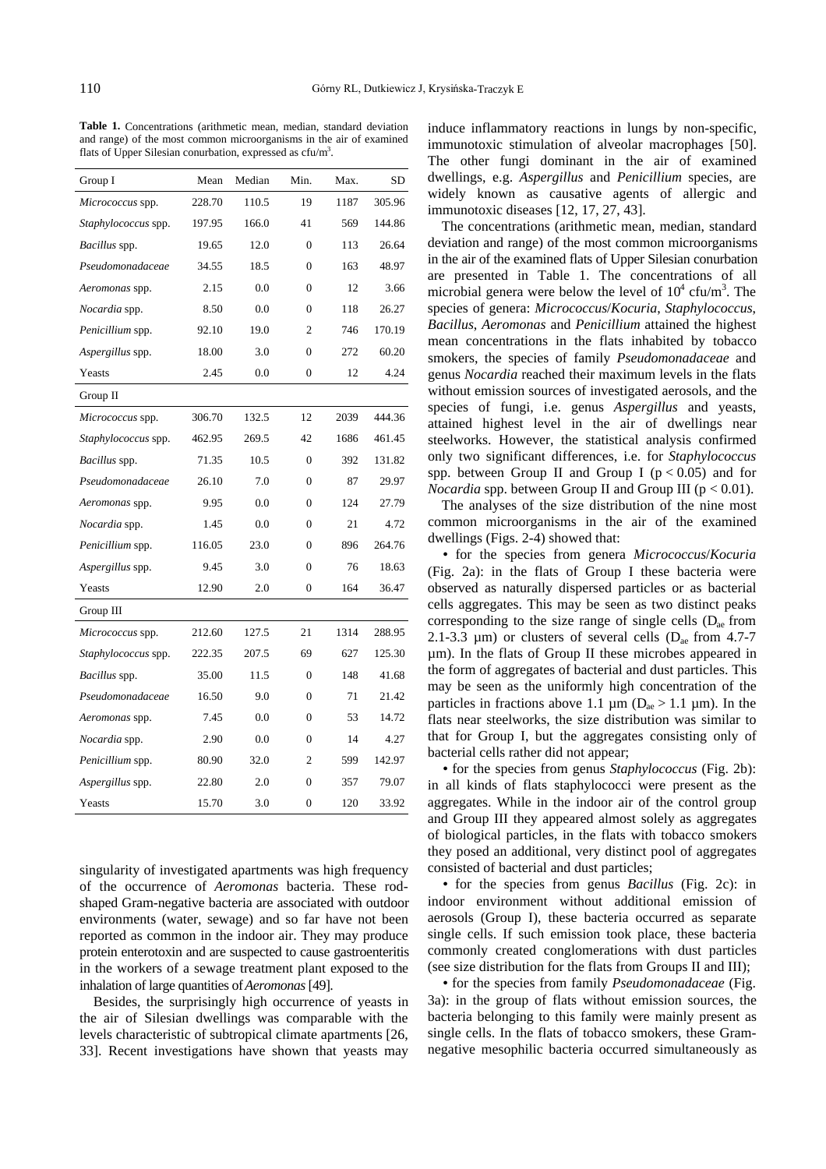Table 1. Concentrations (arithmetic mean, median, standard deviation and range) of the most common microorganisms in the air of examined flats of Upper Silesian conurbation, expressed as cfu/m<sup>3</sup>.

| Group I                    | Mean   | Median | Min.           | Max. | SD     |
|----------------------------|--------|--------|----------------|------|--------|
| Micrococcus spp.           | 228.70 | 110.5  | 19             | 1187 | 305.96 |
| Staphylococcus spp.        | 197.95 | 166.0  | 41             | 569  | 144.86 |
| <i>Bacillus</i> spp.       | 19.65  | 12.0   | $\Omega$       | 113  | 26.64  |
| Pseudomonadaceae           | 34.55  | 18.5   | $\Omega$       | 163  | 48.97  |
| Aeromonas spp.             | 2.15   | 0.0    | $\overline{0}$ | 12   | 3.66   |
| Nocardia spp.              | 8.50   | 0.0    | $\theta$       | 118  | 26.27  |
| Penicillium spp.           | 92.10  | 19.0   | 2              | 746  | 170.19 |
| Aspergillus spp.           | 18.00  | 3.0    | 0              | 272  | 60.20  |
| Yeasts                     | 2.45   | 0.0    | $\overline{0}$ | 12   | 4.24   |
| Group II                   |        |        |                |      |        |
| Micrococcus spp.           | 306.70 | 132.5  | 12             | 2039 | 444.36 |
| Staphylococcus spp.        | 462.95 | 269.5  | 42             | 1686 | 461.45 |
| Bacillus spp.              | 71.35  | 10.5   | $\overline{0}$ | 392  | 131.82 |
| Pseudomonadaceae           | 26.10  | 7.0    | $\Omega$       | 87   | 29.97  |
| Aeromonas spp.             | 9.95   | 0.0    | $\Omega$       | 124  | 27.79  |
| Nocardia spp.              | 1.45   | 0.0    | $\overline{0}$ | 21   | 4.72   |
| Penicillium spp.           | 116.05 | 23.0   | $\overline{0}$ | 896  | 264.76 |
| <i>Aspergillus</i> spp.    | 9.45   | 3.0    | $\Omega$       | 76   | 18.63  |
| Yeasts                     | 12.90  | 2.0    | $\theta$       | 164  | 36.47  |
| Group III                  |        |        |                |      |        |
| Micrococcus spp.           | 212.60 | 127.5  | 21             | 1314 | 288.95 |
| <i>Staphylococcus</i> spp. | 222.35 | 207.5  | 69             | 627  | 125.30 |
| <i>Bacillus</i> spp.       | 35.00  | 11.5   | $\overline{0}$ | 148  | 41.68  |
| Pseudomonadaceae           | 16.50  | 9.0    | $\overline{0}$ | 71   | 21.42  |
| Aeromonas spp.             | 7.45   | 0.0    | $\theta$       | 53   | 14.72  |
| Nocardia spp.              | 2.90   | 0.0    | $\theta$       | 14   | 4.27   |
| Penicillium spp.           | 80.90  | 32.0   | $\overline{c}$ | 599  | 142.97 |
| Aspergillus spp.           | 22.80  | 2.0    | $\overline{0}$ | 357  | 79.07  |
| Yeasts                     | 15.70  | 3.0    | $\theta$       | 120  | 33.92  |

singularity of investigated apartments was high frequency of the occurrence of *Aeromonas* bacteria. These rodshaped Gram-negative bacteria are associated with outdoor environments (water, sewage) and so far have not been reported as common in the indoor air. They may produce protein enterotoxin and are suspected to cause gastroenteritis in the workers of a sewage treatment plant exposed to the inhalation of large quantities of *Aeromonas* [49].

Besides, the surprisingly high occurrence of yeasts in the air of Silesian dwellings was comparable with the levels characteristic of subtropical climate apartments [26, 33]. Recent investigations have shown that yeasts may induce inflammatory reactions in lungs by non-specific, immunotoxic stimulation of alveolar macrophages [50]. The other fungi dominant in the air of examined dwellings, e.g. *Aspergillus* and *Penicillium* species, are widely known as causative agents of allergic and immunotoxic diseases [12, 17, 27, 43].

The concentrations (arithmetic mean, median, standard deviation and range) of the most common microorganisms in the air of the examined flats of Upper Silesian conurbation are presented in Table 1. The concentrations of all microbial genera were below the level of  $10^4$  cfu/m<sup>3</sup>. The species of genera: *Micrococcus*/*Kocuria*, *Staphylococcus*, *Bacillus*, *Aeromonas* and *Penicillium* attained the highest mean concentrations in the flats inhabited by tobacco smokers, the species of family *Pseudomonadaceae* and genus *Nocardia* reached their maximum levels in the flats without emission sources of investigated aerosols, and the species of fungi, i.e. genus *Aspergillus* and yeasts, attained highest level in the air of dwellings near steelworks. However, the statistical analysis confirmed only two significant differences, i.e. for *Staphylococcus* spp. between Group II and Group I ( $p < 0.05$ ) and for *Nocardia* spp. between Group II and Group III ( $p < 0.01$ ).

The analyses of the size distribution of the nine most common microorganisms in the air of the examined dwellings (Figs. 2-4) showed that:

• for the species from genera *Micrococcus*/*Kocuria* (Fig. 2a): in the flats of Group I these bacteria were observed as naturally dispersed particles or as bacterial cells aggregates. This may be seen as two distinct peaks corresponding to the size range of single cells  $(D_{ae}$  from 2.1-3.3  $\mu$ m) or clusters of several cells (D<sub>ae</sub> from 4.7-7 µm). In the flats of Group II these microbes appeared in the form of aggregates of bacterial and dust particles. This may be seen as the uniformly high concentration of the particles in fractions above 1.1  $\mu$ m (D<sub>ae</sub> > 1.1  $\mu$ m). In the flats near steelworks, the size distribution was similar to that for Group I, but the aggregates consisting only of bacterial cells rather did not appear;

• for the species from genus *Staphylococcus* (Fig. 2b): in all kinds of flats staphylococci were present as the aggregates. While in the indoor air of the control group and Group III they appeared almost solely as aggregates of biological particles, in the flats with tobacco smokers they posed an additional, very distinct pool of aggregates consisted of bacterial and dust particles;

• for the species from genus *Bacillus* (Fig. 2c): in indoor environment without additional emission of aerosols (Group I), these bacteria occurred as separate single cells. If such emission took place, these bacteria commonly created conglomerations with dust particles (see size distribution for the flats from Groups II and III);

• for the species from family *Pseudomonadaceae* (Fig. 3a): in the group of flats without emission sources, the bacteria belonging to this family were mainly present as single cells. In the flats of tobacco smokers, these Gramnegative mesophilic bacteria occurred simultaneously as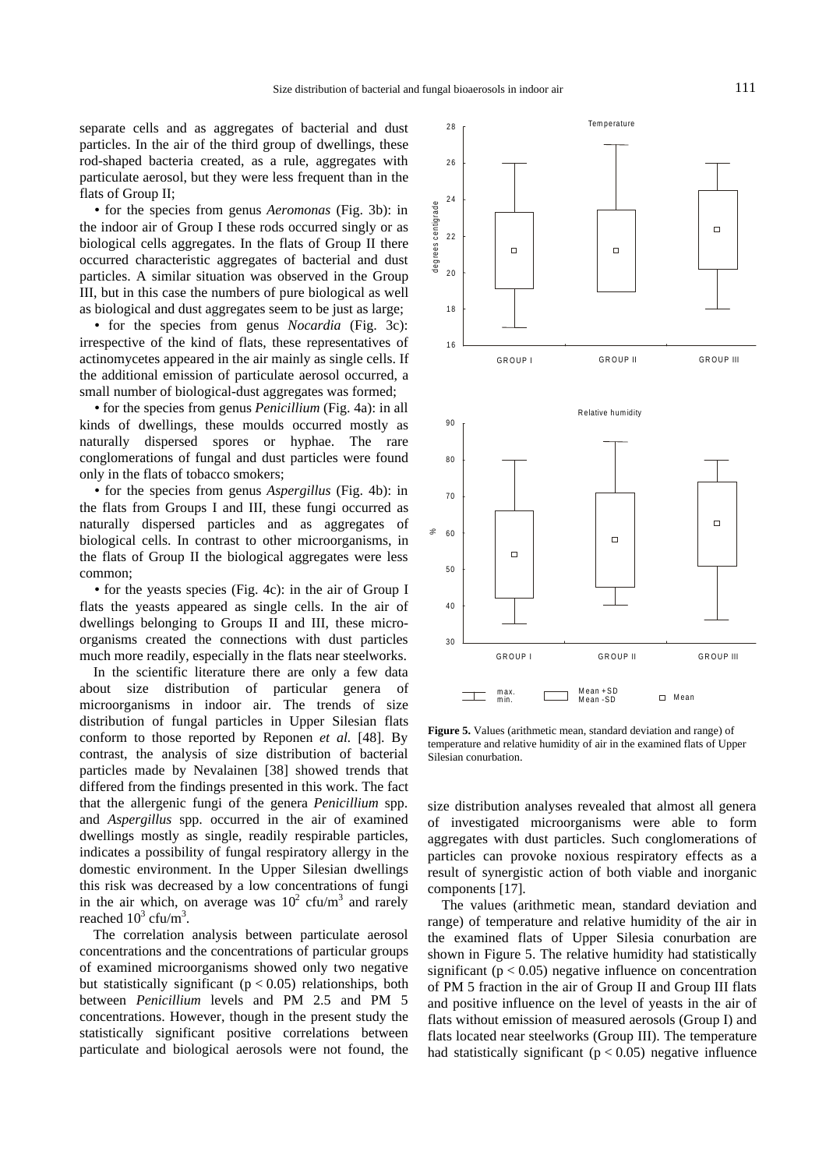separate cells and as aggregates of bacterial and dust particles. In the air of the third group of dwellings, these rod-shaped bacteria created, as a rule, aggregates with particulate aerosol, but they were less frequent than in the flats of Group II;

• for the species from genus *Aeromonas* (Fig. 3b): in the indoor air of Group I these rods occurred singly or as biological cells aggregates. In the flats of Group II there occurred characteristic aggregates of bacterial and dust particles. A similar situation was observed in the Group III, but in this case the numbers of pure biological as well as biological and dust aggregates seem to be just as large;

• for the species from genus *Nocardia* (Fig. 3c): irrespective of the kind of flats, these representatives of actinomycetes appeared in the air mainly as single cells. If the additional emission of particulate aerosol occurred, a small number of biological-dust aggregates was formed;

• for the species from genus *Penicillium* (Fig. 4a): in all kinds of dwellings, these moulds occurred mostly as naturally dispersed spores or hyphae. The rare conglomerations of fungal and dust particles were found only in the flats of tobacco smokers;

• for the species from genus *Aspergillus* (Fig. 4b): in the flats from Groups I and III, these fungi occurred as naturally dispersed particles and as aggregates of biological cells. In contrast to other microorganisms, in the flats of Group II the biological aggregates were less common;

• for the yeasts species (Fig. 4c): in the air of Group I flats the yeasts appeared as single cells. In the air of dwellings belonging to Groups II and III, these microorganisms created the connections with dust particles much more readily, especially in the flats near steelworks.

In the scientific literature there are only a few data about size distribution of particular genera of microorganisms in indoor air. The trends of size distribution of fungal particles in Upper Silesian flats conform to those reported by Reponen *et al.* [48]. By contrast, the analysis of size distribution of bacterial particles made by Nevalainen [38] showed trends that differed from the findings presented in this work. The fact that the allergenic fungi of the genera *Penicillium* spp. and *Aspergillus* spp. occurred in the air of examined dwellings mostly as single, readily respirable particles, indicates a possibility of fungal respiratory allergy in the domestic environment. In the Upper Silesian dwellings this risk was decreased by a low concentrations of fungi in the air which, on average was  $10^2$  cfu/m<sup>3</sup> and rarely reached  $10^3$  cfu/m<sup>3</sup>.

The correlation analysis between particulate aerosol concentrations and the concentrations of particular groups of examined microorganisms showed only two negative but statistically significant ( $p < 0.05$ ) relationships, both between *Penicillium* levels and PM 2.5 and PM 5 concentrations. However, though in the present study the statistically significant positive correlations between particulate and biological aerosols were not found, the



**Figure 5.** Values (arithmetic mean, standard deviation and range) of temperature and relative humidity of air in the examined flats of Upper Silesian conurbation.

size distribution analyses revealed that almost all genera of investigated microorganisms were able to form aggregates with dust particles. Such conglomerations of particles can provoke noxious respiratory effects as a result of synergistic action of both viable and inorganic components [17].

The values (arithmetic mean, standard deviation and range) of temperature and relative humidity of the air in the examined flats of Upper Silesia conurbation are shown in Figure 5. The relative humidity had statistically significant ( $p < 0.05$ ) negative influence on concentration of PM 5 fraction in the air of Group II and Group III flats and positive influence on the level of yeasts in the air of flats without emission of measured aerosols (Group I) and flats located near steelworks (Group III). The temperature had statistically significant ( $p < 0.05$ ) negative influence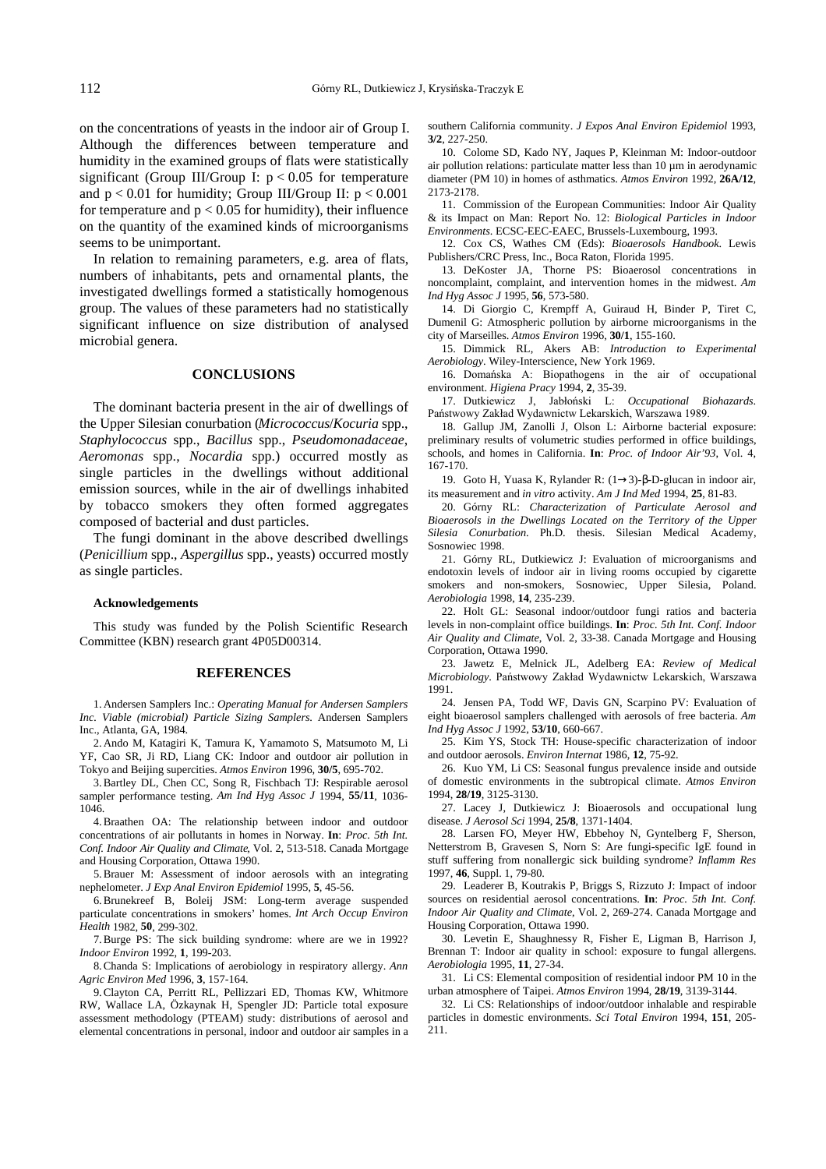on the concentrations of yeasts in the indoor air of Group I. Although the differences between temperature and humidity in the examined groups of flats were statistically significant (Group III/Group I:  $p < 0.05$  for temperature and  $p < 0.01$  for humidity; Group III/Group II:  $p < 0.001$ for temperature and  $p < 0.05$  for humidity), their influence on the quantity of the examined kinds of microorganisms seems to be unimportant.

In relation to remaining parameters, e.g. area of flats, numbers of inhabitants, pets and ornamental plants, the investigated dwellings formed a statistically homogenous group. The values of these parameters had no statistically significant influence on size distribution of analysed microbial genera.

## **CONCLUSIONS**

The dominant bacteria present in the air of dwellings of the Upper Silesian conurbation (*Micrococcus*/*Kocuria* spp., *Staphylococcus* spp., *Bacillus* spp., *Pseudomonadaceae*, *Aeromonas* spp., *Nocardia* spp.) occurred mostly as single particles in the dwellings without additional emission sources, while in the air of dwellings inhabited by tobacco smokers they often formed aggregates composed of bacterial and dust particles.

The fungi dominant in the above described dwellings (*Penicillium* spp., *Aspergillus* spp., yeasts) occurred mostly as single particles.

#### **Acknowledgements**

This study was funded by the Polish Scientific Research Committee (KBN) research grant 4P05D00314.

#### **REFERENCES**

1. Andersen Samplers Inc.: *Operating Manual for Andersen Samplers Inc. Viable (microbial) Particle Sizing Samplers*. Andersen Samplers Inc., Atlanta, GA, 1984.

2. Ando M, Katagiri K, Tamura K, Yamamoto S, Matsumoto M, Li YF, Cao SR, Ji RD, Liang CK: Indoor and outdoor air pollution in Tokyo and Beijing supercities. *Atmos Environ* 1996, **30/5**, 695-702.

3. Bartley DL, Chen CC, Song R, Fischbach TJ: Respirable aerosol sampler performance testing. *Am Ind Hyg Assoc J* 1994, **55/11**, 1036- 1046.

4. Braathen OA: The relationship between indoor and outdoor concentrations of air pollutants in homes in Norway. **In**: *Proc. 5th Int. Conf. Indoor Air Quality and Climate*, Vol. 2, 513-518. Canada Mortgage and Housing Corporation, Ottawa 1990.

5. Brauer M: Assessment of indoor aerosols with an integrating nephelometer. *J Exp Anal Environ Epidemiol* 1995, **5**, 45-56.

6. Brunekreef B, Boleij JSM: Long-term average suspended particulate concentrations in smokers' homes. *Int Arch Occup Environ Health* 1982, **50**, 299-302.

7. Burge PS: The sick building syndrome: where are we in 1992? *Indoor Environ* 1992, **1**, 199-203.

8. Chanda S: Implications of aerobiology in respiratory allergy. *Ann Agric Environ Med* 1996, **3**, 157-164.

9. Clayton CA, Perritt RL, Pellizzari ED, Thomas KW, Whitmore RW, Wallace LA, Özkaynak H, Spengler JD: Particle total exposure assessment methodology (PTEAM) study: distributions of aerosol and elemental concentrations in personal, indoor and outdoor air samples in a southern California community. *J Expos Anal Environ Epidemiol* 1993, **3/2**, 227-250.

10. Colome SD, Kado NY, Jaques P, Kleinman M: Indoor-outdoor air pollution relations: particulate matter less than 10 µm in aerodynamic diameter (PM 10) in homes of asthmatics. *Atmos Environ* 1992, **26A/12**, 2173-2178.

11. Commission of the European Communities: Indoor Air Quality & its Impact on Man: Report No. 12: *Biological Particles in Indoor Environments*. ECSC-EEC-EAEC, Brussels-Luxembourg, 1993.

12. Cox CS, Wathes CM (Eds): *Bioaerosols Handbook*. Lewis Publishers/CRC Press, Inc., Boca Raton, Florida 1995.

13. DeKoster JA, Thorne PS: Bioaerosol concentrations in noncomplaint, complaint, and intervention homes in the midwest. *Am Ind Hyg Assoc J* 1995, **56**, 573-580.

14. Di Giorgio C, Krempff A, Guiraud H, Binder P, Tiret C, Dumenil G: Atmospheric pollution by airborne microorganisms in the city of Marseilles. *Atmos Environ* 1996, **30/1**, 155-160.

15. Dimmick RL, Akers AB: *Introduction to Experimental Aerobiology*. Wiley-Interscience, New York 1969.

16. Domańska A: Biopathogens in the air of occupational environment. *Higiena Pracy* 1994, **2**, 35-39.

17. Dutkiewicz J, Jabłoński L: Occupational Biohazards. Państwowy Zakład Wydawnictw Lekarskich, Warszawa 1989.

18. Gallup JM, Zanolli J, Olson L: Airborne bacterial exposure: preliminary results of volumetric studies performed in office buildings, schools, and homes in California. **In**: *Proc. of Indoor Air'93*, Vol. 4, 167-170.

19. Goto H, Yuasa K, Rylander R: (1→3)-β-D-glucan in indoor air, its measurement and *in vitro* activity. *Am J Ind Med* 1994, **25**, 81-83.

20. Górny RL: *Characterization of Particulate Aerosol and Bioaerosols in the Dwellings Located on the Territory of the Upper Silesia Conurbation*. Ph.D. thesis. Silesian Medical Academy, Sosnowiec 1998.

21. Górny RL, Dutkiewicz J: Evaluation of microorganisms and endotoxin levels of indoor air in living rooms occupied by cigarette smokers and non-smokers, Sosnowiec, Upper Silesia, Poland. *Aerobiologia* 1998, **14**, 235-239.

22. Holt GL: Seasonal indoor/outdoor fungi ratios and bacteria levels in non-complaint office buildings. **In**: *Proc. 5th Int. Conf. Indoor Air Quality and Climate*, Vol. 2, 33-38. Canada Mortgage and Housing Corporation, Ottawa 1990.

23. Jawetz E, Melnick JL, Adelberg EA: *Review of Medical Microbiology*. Państwowy Zakład Wydawnictw Lekarskich, Warszawa 1991.

24. Jensen PA, Todd WF, Davis GN, Scarpino PV: Evaluation of eight bioaerosol samplers challenged with aerosols of free bacteria. *Am Ind Hyg Assoc J* 1992, **53/10**, 660-667.

25. Kim YS, Stock TH: House-specific characterization of indoor and outdoor aerosols. *Environ Internat* 1986, **12**, 75-92.

26. Kuo YM, Li CS: Seasonal fungus prevalence inside and outside of domestic environments in the subtropical climate. *Atmos Environ* 1994, **28/19**, 3125-3130.

27. Lacey J, Dutkiewicz J: Bioaerosols and occupational lung disease. *J Aerosol Sci* 1994, **25/8**, 1371-1404.

28. Larsen FO, Meyer HW, Ebbehoy N, Gyntelberg F, Sherson, Netterstrom B, Gravesen S, Norn S: Are fungi-specific IgE found in stuff suffering from nonallergic sick building syndrome? *Inflamm Res* 1997, **46**, Suppl. 1, 79-80.

29. Leaderer B, Koutrakis P, Briggs S, Rizzuto J: Impact of indoor sources on residential aerosol concentrations. **In**: *Proc. 5th Int. Conf. Indoor Air Quality and Climate*, Vol. 2, 269-274. Canada Mortgage and Housing Corporation, Ottawa 1990.

30. Levetin E, Shaughnessy R, Fisher E, Ligman B, Harrison J, Brennan T: Indoor air quality in school: exposure to fungal allergens. *Aerobiologia* 1995, **11**, 27-34.

31. Li CS: Elemental composition of residential indoor PM 10 in the urban atmosphere of Taipei. *Atmos Environ* 1994, **28/19**, 3139-3144.

32. Li CS: Relationships of indoor/outdoor inhalable and respirable particles in domestic environments. *Sci Total Environ* 1994, **151**, 205- 211.